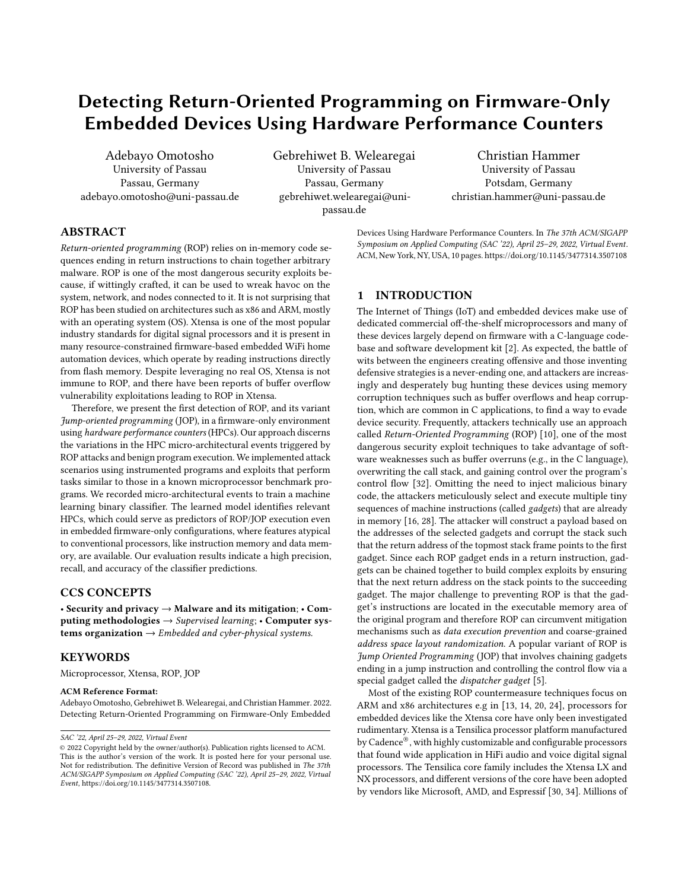# Detecting Return-Oriented Programming on Firmware-Only Embedded Devices Using Hardware Performance Counters

Adebayo Omotosho University of Passau Passau, Germany adebayo.omotosho@uni-passau.de Gebrehiwet B. Welearegai University of Passau Passau, Germany gebrehiwet.welearegai@unipassau.de

Christian Hammer University of Passau Potsdam, Germany christian.hammer@uni-passau.de

# ABSTRACT

Return-oriented programming (ROP) relies on in-memory code sequences ending in return instructions to chain together arbitrary malware. ROP is one of the most dangerous security exploits because, if wittingly crafted, it can be used to wreak havoc on the system, network, and nodes connected to it. It is not surprising that ROP has been studied on architectures such as x86 and ARM, mostly with an operating system (OS). Xtensa is one of the most popular industry standards for digital signal processors and it is present in many resource-constrained firmware-based embedded WiFi home automation devices, which operate by reading instructions directly from flash memory. Despite leveraging no real OS, Xtensa is not immune to ROP, and there have been reports of buffer overflow vulnerability exploitations leading to ROP in Xtensa.

Therefore, we present the first detection of ROP, and its variant Jump-oriented programming (JOP), in a firmware-only environment using hardware performance counters (HPCs). Our approach discerns the variations in the HPC micro-architectural events triggered by ROP attacks and benign program execution. We implemented attack scenarios using instrumented programs and exploits that perform tasks similar to those in a known microprocessor benchmark programs. We recorded micro-architectural events to train a machine learning binary classifier. The learned model identifies relevant HPCs, which could serve as predictors of ROP/JOP execution even in embedded firmware-only configurations, where features atypical to conventional processors, like instruction memory and data memory, are available. Our evaluation results indicate a high precision, recall, and accuracy of the classifier predictions.

# CCS CONCEPTS

• Security and privacy  $\rightarrow$  Malware and its mitigation; • Computing methodologies → Supervised learning; • Computer systems organization  $\rightarrow$  Embedded and cyber-physical systems.

# KEYWORDS

Microprocessor, Xtensa, ROP, JOP

#### ACM Reference Format:

Adebayo Omotosho, Gebrehiwet B. Welearegai, and Christian Hammer. 2022. Detecting Return-Oriented Programming on Firmware-Only Embedded

Devices Using Hardware Performance Counters. In The 37th ACM/SIGAPP Symposium on Applied Computing (SAC '22), April 25–29, 2022, Virtual Event. ACM, New York, NY, USA, [10](#page-9-0) pages[. https://doi.org/10.1145/3477314.3507108](https://doi.org/10.1145/3477314.3507108)

# 1 INTRODUCTION

The Internet of Things (IoT) and embedded devices make use of dedicated commercial off-the-shelf microprocessors and many of these devices largely depend on firmware with a C-language codebase and software development kit [\[2\]](#page-9-1). As expected, the battle of wits between the engineers creating offensive and those inventing defensive strategies is a never-ending one, and attackers are increasingly and desperately bug hunting these devices using memory corruption techniques such as buffer overflows and heap corruption, which are common in C applications, to find a way to evade device security. Frequently, attackers technically use an approach called Return-Oriented Programming (ROP) [\[10\]](#page-9-2), one of the most dangerous security exploit techniques to take advantage of software weaknesses such as buffer overruns (e.g., in the C language), overwriting the call stack, and gaining control over the program's control flow [\[32\]](#page-9-3). Omitting the need to inject malicious binary code, the attackers meticulously select and execute multiple tiny sequences of machine instructions (called gadgets) that are already in memory [\[16,](#page-9-4) [28\]](#page-9-5). The attacker will construct a payload based on the addresses of the selected gadgets and corrupt the stack such that the return address of the topmost stack frame points to the first gadget. Since each ROP gadget ends in a return instruction, gadgets can be chained together to build complex exploits by ensuring that the next return address on the stack points to the succeeding gadget. The major challenge to preventing ROP is that the gadget's instructions are located in the executable memory area of the original program and therefore ROP can circumvent mitigation mechanisms such as data execution prevention and coarse-grained address space layout randomization. A popular variant of ROP is Jump Oriented Programming (JOP) that involves chaining gadgets ending in a jump instruction and controlling the control flow via a special gadget called the dispatcher gadget [\[5\]](#page-9-6).

Most of the existing ROP countermeasure techniques focus on ARM and x86 architectures e.g in [\[13,](#page-9-7) [14,](#page-9-8) [20,](#page-9-9) [24\]](#page-9-10), processors for embedded devices like the Xtensa core have only been investigated rudimentary. Xtensa is a Tensilica processor platform manufactured by Cadence®, with highly customizable and configurable processors that found wide application in HiFi audio and voice digital signal processors. The Tensilica core family includes the Xtensa LX and NX processors, and different versions of the core have been adopted by vendors like Microsoft, AMD, and Espressif [\[30,](#page-9-11) [34\]](#page-9-12). Millions of

SAC '22, April 25–29, 2022, Virtual Event

<sup>©</sup> 2022 Copyright held by the owner/author(s). Publication rights licensed to ACM. This is the author's version of the work. It is posted here for your personal use. Not for redistribution. The definitive Version of Record was published in The 37th ACM/SIGAPP Symposium on Applied Computing (SAC '22), April 25–29, 2022, Virtual Event, [https://doi.org/10.1145/3477314.3507108.](https://doi.org/10.1145/3477314.3507108)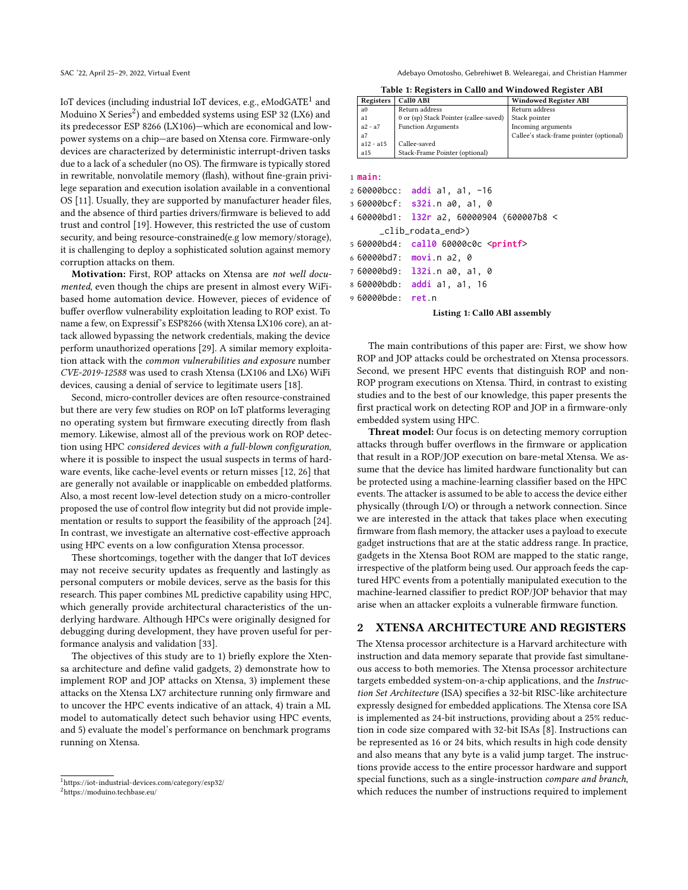IoT devices (including industrial IoT devices, e.g.,  $\epsilon$ ModGATE $^1$  $^1$  and Moduino X Series<sup>[2](#page-1-1)</sup>) and embedded systems using ESP 32 (LX6) and its predecessor ESP 8266 (LX106)—which are economical and lowpower systems on a chip—are based on Xtensa core. Firmware-only devices are characterized by deterministic interrupt-driven tasks due to a lack of a scheduler (no OS). The firmware is typically stored in rewritable, nonvolatile memory (flash), without fine-grain privilege separation and execution isolation available in a conventional OS [\[11\]](#page-9-13). Usually, they are supported by manufacturer header files, and the absence of third parties drivers/firmware is believed to add trust and control [\[19\]](#page-9-14). However, this restricted the use of custom security, and being resource-constrained(e.g low memory/storage), it is challenging to deploy a sophisticated solution against memory corruption attacks on them.

Motivation: First, ROP attacks on Xtensa are not well documented, even though the chips are present in almost every WiFibased home automation device. However, pieces of evidence of buffer overflow vulnerability exploitation leading to ROP exist. To name a few, on Expressif's ESP8266 (with Xtensa LX106 core), an attack allowed bypassing the network credentials, making the device perform unauthorized operations [\[29\]](#page-9-15). A similar memory exploitation attack with the common vulnerabilities and exposure number CVE-2019-12588 was used to crash Xtensa (LX106 and LX6) WiFi devices, causing a denial of service to legitimate users [\[18\]](#page-9-16).

Second, micro-controller devices are often resource-constrained but there are very few studies on ROP on IoT platforms leveraging no operating system but firmware executing directly from flash memory. Likewise, almost all of the previous work on ROP detection using HPC considered devices with a full-blown configuration, where it is possible to inspect the usual suspects in terms of hardware events, like cache-level events or return misses [\[12,](#page-9-17) [26\]](#page-9-18) that are generally not available or inapplicable on embedded platforms. Also, a most recent low-level detection study on a micro-controller proposed the use of control flow integrity but did not provide implementation or results to support the feasibility of the approach [\[24\]](#page-9-10). In contrast, we investigate an alternative cost-effective approach using HPC events on a low configuration Xtensa processor.

These shortcomings, together with the danger that IoT devices may not receive security updates as frequently and lastingly as personal computers or mobile devices, serve as the basis for this research. This paper combines ML predictive capability using HPC, which generally provide architectural characteristics of the underlying hardware. Although HPCs were originally designed for debugging during development, they have proven useful for performance analysis and validation [\[33\]](#page-9-19).

The objectives of this study are to 1) briefly explore the Xtensa architecture and define valid gadgets, 2) demonstrate how to implement ROP and JOP attacks on Xtensa, 3) implement these attacks on the Xtensa LX7 architecture running only firmware and to uncover the HPC events indicative of an attack, 4) train a ML model to automatically detect such behavior using HPC events, and 5) evaluate the model's performance on benchmark programs running on Xtensa.

SAC '22, April 25-29, 2022, Virtual Event Adebayo Christian Hammer Adebayo Omotosho, Gebrehiwet B. Welearegai, and Christian Hammer

Table 1: Registers in Call0 and Windowed Register ABI

<span id="page-1-2"></span>

| Registers      | Call0 ABI                              | <b>Windowed Register ABI</b>            |  |  |
|----------------|----------------------------------------|-----------------------------------------|--|--|
| a <sub>0</sub> | Return address                         | Return address                          |  |  |
| a1             | 0 or (sp) Stack Pointer (callee-saved) | Stack pointer                           |  |  |
| $a2 - a7$      | <b>Function Arguments</b>              | Incoming arguments                      |  |  |
| a7             |                                        | Callee's stack-frame pointer (optional) |  |  |
| $a12 - a15$    | Callee-saved                           |                                         |  |  |
| a15            | Stack-Frame Pointer (optional)         |                                         |  |  |
|                |                                        |                                         |  |  |

<span id="page-1-3"></span>1 **main**:

```
2 60000bcc: addi a1, a1, -16
3 60000bcf: s32i.n a0, a1, 0
4 60000bd1: l32r a2, 60000904 (600007b8 <
      _clib_rodata_end>)
5 60000bd4: call0 60000c0c <printf>
6 60000bd7: movi.n a2, 0
7 60000bd9: l32i.n a0, a1, 0
8 60000bdb: addi a1, a1, 16
```
9 60000bde: **ret**.n

#### Listing 1: Call0 ABI assembly

The main contributions of this paper are: First, we show how ROP and JOP attacks could be orchestrated on Xtensa processors. Second, we present HPC events that distinguish ROP and non-ROP program executions on Xtensa. Third, in contrast to existing studies and to the best of our knowledge, this paper presents the first practical work on detecting ROP and JOP in a firmware-only embedded system using HPC.

Threat model: Our focus is on detecting memory corruption attacks through buffer overflows in the firmware or application that result in a ROP/JOP execution on bare-metal Xtensa. We assume that the device has limited hardware functionality but can be protected using a machine-learning classifier based on the HPC events. The attacker is assumed to be able to access the device either physically (through I/O) or through a network connection. Since we are interested in the attack that takes place when executing firmware from flash memory, the attacker uses a payload to execute gadget instructions that are at the static address range. In practice, gadgets in the Xtensa Boot ROM are mapped to the static range, irrespective of the platform being used. Our approach feeds the captured HPC events from a potentially manipulated execution to the machine-learned classifier to predict ROP/JOP behavior that may arise when an attacker exploits a vulnerable firmware function.

# 2 XTENSA ARCHITECTURE AND REGISTERS

The Xtensa processor architecture is a Harvard architecture with instruction and data memory separate that provide fast simultaneous access to both memories. The Xtensa processor architecture targets embedded system-on-a-chip applications, and the Instruction Set Architecture (ISA) specifies a 32-bit RISC-like architecture expressly designed for embedded applications. The Xtensa core ISA is implemented as 24-bit instructions, providing about a 25% reduction in code size compared with 32-bit ISAs [\[8\]](#page-9-20). Instructions can be represented as 16 or 24 bits, which results in high code density and also means that any byte is a valid jump target. The instructions provide access to the entire processor hardware and support special functions, such as a single-instruction compare and branch, which reduces the number of instructions required to implement

<span id="page-1-0"></span><sup>1</sup>[https://iot-industrial-devices.com/category/esp32/](https://iot-industrial-devices.com/category/esp32/ )

<span id="page-1-1"></span><sup>2</sup>[https://moduino.techbase.eu/](https://moduino.techbase.eu/ )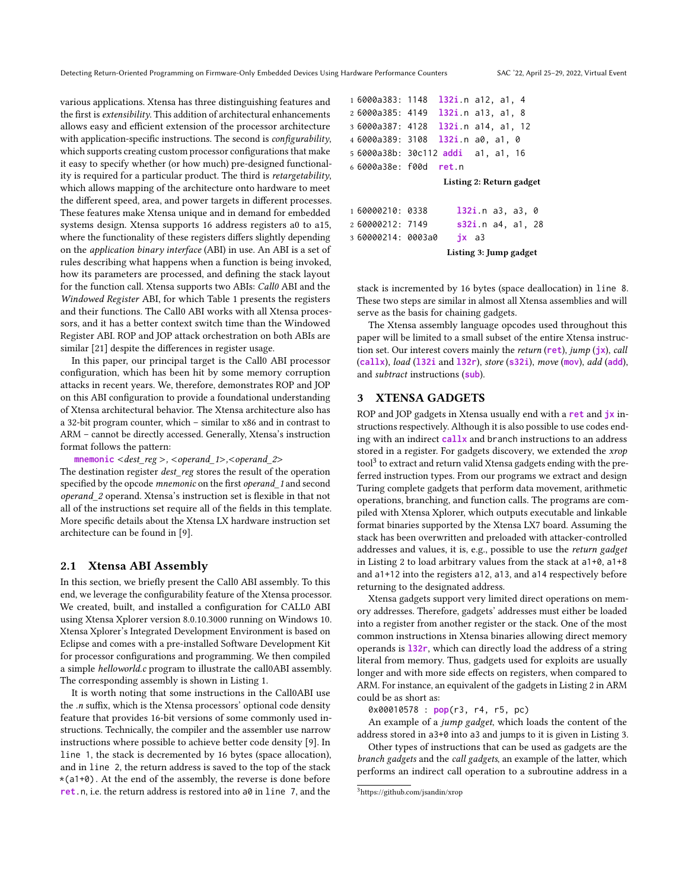various applications. Xtensa has three distinguishing features and the first is extensibility. This addition of architectural enhancements allows easy and efficient extension of the processor architecture with application-specific instructions. The second is *configurability*, which supports creating custom processor configurations that make it easy to specify whether (or how much) pre-designed functionality is required for a particular product. The third is retargetability, which allows mapping of the architecture onto hardware to meet the different speed, area, and power targets in different processes. These features make Xtensa unique and in demand for embedded systems design. Xtensa supports 16 address registers a0 to a15, where the functionality of these registers differs slightly depending on the application binary interface (ABI) in use. An ABI is a set of rules describing what happens when a function is being invoked, how its parameters are processed, and defining the stack layout for the function call. Xtensa supports two ABIs: Call0 ABI and the Windowed Register ABI, for which Table [1](#page-1-2) presents the registers and their functions. The Call0 ABI works with all Xtensa processors, and it has a better context switch time than the Windowed Register ABI. ROP and JOP attack orchestration on both ABIs are similar [\[21\]](#page-9-21) despite the differences in register usage.

In this paper, our principal target is the Call0 ABI processor configuration, which has been hit by some memory corruption attacks in recent years. We, therefore, demonstrates ROP and JOP on this ABI configuration to provide a foundational understanding of Xtensa architectural behavior. The Xtensa architecture also has a 32-bit program counter, which – similar to x86 and in contrast to ARM – cannot be directly accessed. Generally, Xtensa's instruction format follows the pattern:

## **mnemonic** <dest\_reg >, <operand\_1>,<operand\_2>

The destination register *dest* reg stores the result of the operation specified by the opcode mnemonic on the first operand\_1 and second operand\_2 operand. Xtensa's instruction set is flexible in that not all of the instructions set require all of the fields in this template. More specific details about the Xtensa LX hardware instruction set architecture can be found in [\[9\]](#page-9-22).

### 2.1 Xtensa ABI Assembly

In this section, we briefly present the Call0 ABI assembly. To this end, we leverage the configurability feature of the Xtensa processor. We created, built, and installed a configuration for CALL0 ABI using Xtensa Xplorer version 8.0.10.3000 running on Windows 10. Xtensa Xplorer's Integrated Development Environment is based on Eclipse and comes with a pre-installed Software Development Kit for processor configurations and programming. We then compiled a simple helloworld.c program to illustrate the call0ABI assembly. The corresponding assembly is shown in Listing [1.](#page-1-3)

It is worth noting that some instructions in the Call0ABI use the .n suffix, which is the Xtensa processors' optional code density feature that provides 16-bit versions of some commonly used instructions. Technically, the compiler and the assembler use narrow instructions where possible to achieve better code density [\[9\]](#page-9-22). In line 1, the stack is decremented by 16 bytes (space allocation), and in line 2, the return address is saved to the top of the stack \*(a1+0). At the end of the assembly, the reverse is done before **ret**.n, i.e. the return address is restored into a0 in line 7, and the

```
1 6000a383: 1148 l32i.n a12, a1, 4
2 6000a385: 4149 l32i.n a13, a1, 8
3 6000a387: 4128 l32i.n a14, a1, 12
4 6000a389: 3108 l32i.n a0, a1, 0
5 6000a38b: 30c112 addi a1, a1, 16
6 6000a38e: f00d ret.n
                  Listing 2: Return gadget
1 60000210: 0338 l32i.n a3, a3, 0
2 60000212: 7149 s32i.n a4, a1, 28
3 60000214: 0003a0 jx a3
```
Listing 3: Jump gadget

<span id="page-2-2"></span>stack is incremented by 16 bytes (space deallocation) in line 8. These two steps are similar in almost all Xtensa assemblies and will serve as the basis for chaining gadgets.

The Xtensa assembly language opcodes used throughout this paper will be limited to a small subset of the entire Xtensa instruction set. Our interest covers mainly the return (**ret**), jump (**jx**), call (**callx**), load (**l32i** and **l32r**), store (**s32i**), move (**mov**), add (**add**), and subtract instructions (**sub**).

# 3 XTENSA GADGETS

ROP and JOP gadgets in Xtensa usually end with a **ret** and **jx** instructions respectively. Although it is also possible to use codes ending with an indirect **callx** and branch instructions to an address stored in a register. For gadgets discovery, we extended the xrop tool<sup>[3](#page-2-0)</sup> to extract and return valid Xtensa gadgets ending with the preferred instruction types. From our programs we extract and design Turing complete gadgets that perform data movement, arithmetic operations, branching, and function calls. The programs are compiled with Xtensa Xplorer, which outputs executable and linkable format binaries supported by the Xtensa LX7 board. Assuming the stack has been overwritten and preloaded with attacker-controlled addresses and values, it is, e.g., possible to use the return gadget in Listing [2](#page-2-1) to load arbitrary values from the stack at a1+0, a1+8 and a1+12 into the registers a12, a13, and a14 respectively before returning to the designated address.

Xtensa gadgets support very limited direct operations on memory addresses. Therefore, gadgets' addresses must either be loaded into a register from another register or the stack. One of the most common instructions in Xtensa binaries allowing direct memory operands is **l32r**, which can directly load the address of a string literal from memory. Thus, gadgets used for exploits are usually longer and with more side effects on registers, when compared to ARM. For instance, an equivalent of the gadgets in Listing [2](#page-2-1) in ARM could be as short as:

0x00010578 : **pop**(r3, r4, r5, pc)

An example of a jump gadget, which loads the content of the address stored in a3+0 into a3 and jumps to it is given in Listing [3.](#page-2-2)

Other types of instructions that can be used as gadgets are the branch gadgets and the call gadgets, an example of the latter, which performs an indirect call operation to a subroutine address in a

<span id="page-2-0"></span><sup>3</sup><https://github.com/jsandin/xrop>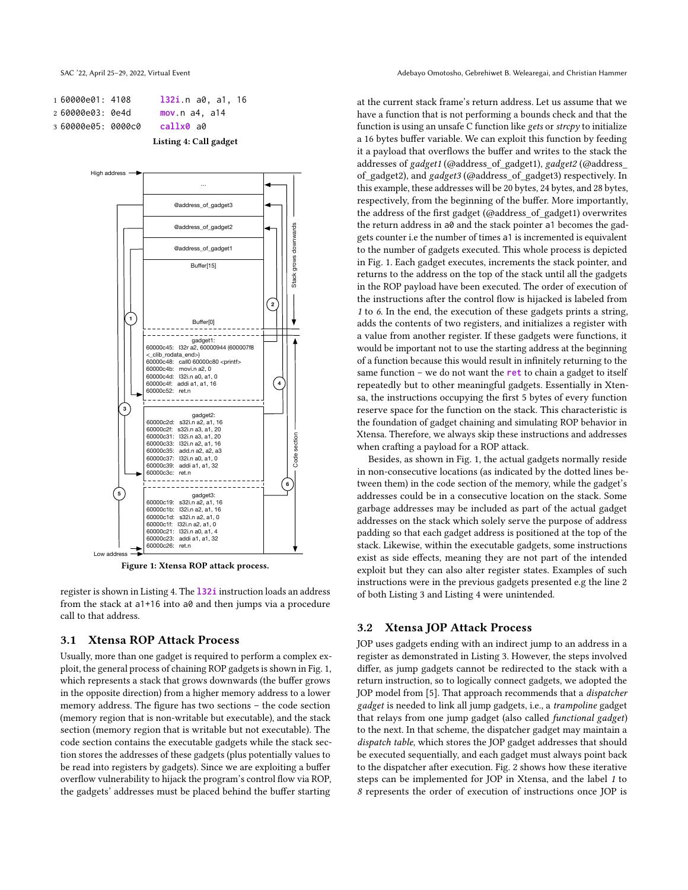<span id="page-3-0"></span>1 60000e01: 4108 **l32i**.n a0, a1, 16 2 60000e03: 0e4d **mov**.n a4, a14 3 60000e05: 0000c0 **callx0** a0

Listing 4: Call gadget

<span id="page-3-1"></span>

Figure 1: Xtensa ROP attack process.

register is shown in Listing [4.](#page-3-0) The **l32i** instruction loads an address from the stack at a1+16 into a0 and then jumps via a procedure call to that address.

#### 3.1 Xtensa ROP Attack Process

Usually, more than one gadget is required to perform a complex exploit, the general process of chaining ROP gadgets is shown in Fig. [1,](#page-3-1) which represents a stack that grows downwards (the buffer grows in the opposite direction) from a higher memory address to a lower memory address. The figure has two sections – the code section (memory region that is non-writable but executable), and the stack section (memory region that is writable but not executable). The code section contains the executable gadgets while the stack section stores the addresses of these gadgets (plus potentially values to be read into registers by gadgets). Since we are exploiting a buffer overflow vulnerability to hijack the program's control flow via ROP, the gadgets' addresses must be placed behind the buffer starting

SAC '22, April 25-29, 2022, Virtual Event Adebayo Christian Hammer Adebayo Omotosho, Gebrehiwet B. Welearegai, and Christian Hammer

at the current stack frame's return address. Let us assume that we have a function that is not performing a bounds check and that the function is using an unsafe C function like gets or  $\text{stropy}$  to initialize a 16 bytes buffer variable. We can exploit this function by feeding it a payload that overflows the buffer and writes to the stack the addresses of gadget1 (@address\_of\_gadget1), gadget2 (@address\_ of\_gadget2), and gadget3 (@address\_of\_gadget3) respectively. In this example, these addresses will be 20 bytes, 24 bytes, and 28 bytes, respectively, from the beginning of the buffer. More importantly, the address of the first gadget (@address\_of\_gadget1) overwrites the return address in a0 and the stack pointer a1 becomes the gadgets counter i.e the number of times a1 is incremented is equivalent to the number of gadgets executed. This whole process is depicted in Fig. [1.](#page-3-1) Each gadget executes, increments the stack pointer, and returns to the address on the top of the stack until all the gadgets in the ROP payload have been executed. The order of execution of the instructions after the control flow is hijacked is labeled from 1 to 6. In the end, the execution of these gadgets prints a string, adds the contents of two registers, and initializes a register with a value from another register. If these gadgets were functions, it would be important not to use the starting address at the beginning of a function because this would result in infinitely returning to the same function – we do not want the **ret** to chain a gadget to itself repeatedly but to other meaningful gadgets. Essentially in Xtensa, the instructions occupying the first 5 bytes of every function reserve space for the function on the stack. This characteristic is the foundation of gadget chaining and simulating ROP behavior in Xtensa. Therefore, we always skip these instructions and addresses when crafting a payload for a ROP attack.

Besides, as shown in Fig. [1,](#page-3-1) the actual gadgets normally reside in non-consecutive locations (as indicated by the dotted lines between them) in the code section of the memory, while the gadget's addresses could be in a consecutive location on the stack. Some garbage addresses may be included as part of the actual gadget addresses on the stack which solely serve the purpose of address padding so that each gadget address is positioned at the top of the stack. Likewise, within the executable gadgets, some instructions exist as side effects, meaning they are not part of the intended exploit but they can also alter register states. Examples of such instructions were in the previous gadgets presented e.g the line 2 of both Listing [3](#page-2-2) and Listing [4](#page-3-0) were unintended.

# 3.2 Xtensa JOP Attack Process

JOP uses gadgets ending with an indirect jump to an address in a register as demonstrated in Listing [3.](#page-2-2) However, the steps involved differ, as jump gadgets cannot be redirected to the stack with a return instruction, so to logically connect gadgets, we adopted the JOP model from [\[5\]](#page-9-6). That approach recommends that a *dispatcher* gadget is needed to link all jump gadgets, i.e., a trampoline gadget that relays from one jump gadget (also called functional gadget) to the next. In that scheme, the dispatcher gadget may maintain a dispatch table, which stores the JOP gadget addresses that should be executed sequentially, and each gadget must always point back to the dispatcher after execution. Fig. [2](#page-4-0) shows how these iterative steps can be implemented for JOP in Xtensa, and the label 1 to 8 represents the order of execution of instructions once JOP is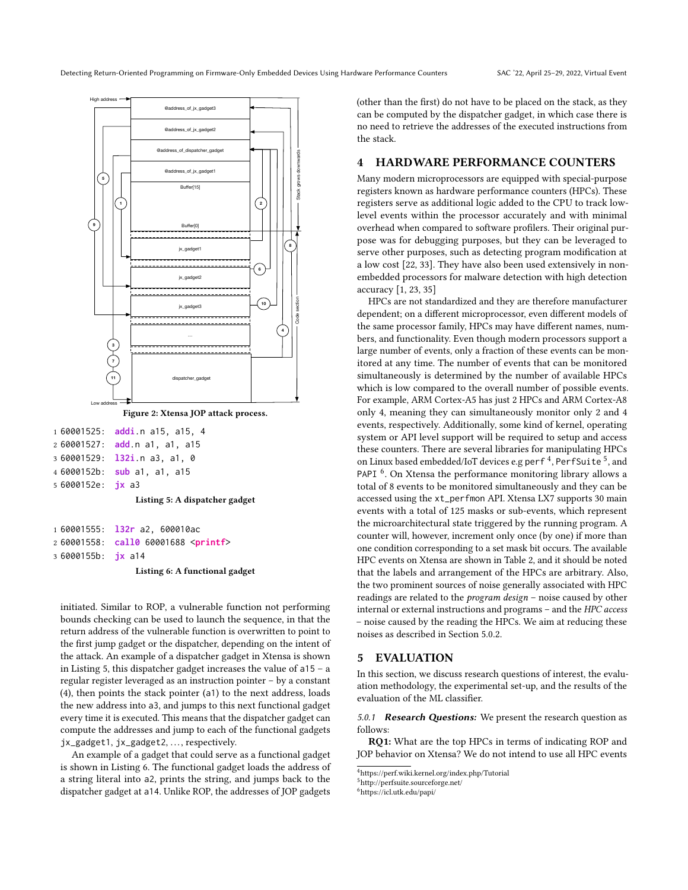<span id="page-4-0"></span>

<span id="page-4-1"></span> 60001525: **addi**.n a15, a15, 4 60001527: **add**.n a1, a1, a15 60001529: **l32i**.n a3, a1, 0 6000152b: **sub** a1, a1, a15 6000152e: **jx** a3

Listing 5: A dispatcher gadget

<span id="page-4-2"></span>

|                           | 1 60001555: 132r a2, 600010ac                |
|---------------------------|----------------------------------------------|
|                           | 2 60001558: call0 60001688 <printf></printf> |
| 3 6000155b: <b>jx</b> a14 |                                              |

Listing 6: A functional gadget

initiated. Similar to ROP, a vulnerable function not performing bounds checking can be used to launch the sequence, in that the return address of the vulnerable function is overwritten to point to the first jump gadget or the dispatcher, depending on the intent of the attack. An example of a dispatcher gadget in Xtensa is shown in Listing [5,](#page-4-1) this dispatcher gadget increases the value of a15 – a regular register leveraged as an instruction pointer – by a constant (4), then points the stack pointer (a1) to the next address, loads the new address into a3, and jumps to this next functional gadget every time it is executed. This means that the dispatcher gadget can compute the addresses and jump to each of the functional gadgets jx\_gadget1, jx\_gadget2, ..., respectively.

An example of a gadget that could serve as a functional gadget is shown in Listing [6.](#page-4-2) The functional gadget loads the address of a string literal into a2, prints the string, and jumps back to the dispatcher gadget at a14. Unlike ROP, the addresses of JOP gadgets

(other than the first) do not have to be placed on the stack, as they can be computed by the dispatcher gadget, in which case there is no need to retrieve the addresses of the executed instructions from the stack.

# 4 HARDWARE PERFORMANCE COUNTERS

Many modern microprocessors are equipped with special-purpose registers known as hardware performance counters (HPCs). These registers serve as additional logic added to the CPU to track lowlevel events within the processor accurately and with minimal overhead when compared to software profilers. Their original purpose was for debugging purposes, but they can be leveraged to serve other purposes, such as detecting program modification at a low cost [\[22,](#page-9-23) [33\]](#page-9-19). They have also been used extensively in nonembedded processors for malware detection with high detection accuracy [\[1,](#page-9-24) [23,](#page-9-25) [35\]](#page-9-26)

HPCs are not standardized and they are therefore manufacturer dependent; on a different microprocessor, even different models of the same processor family, HPCs may have different names, numbers, and functionality. Even though modern processors support a large number of events, only a fraction of these events can be monitored at any time. The number of events that can be monitored simultaneously is determined by the number of available HPCs which is low compared to the overall number of possible events. For example, ARM Cortex-A5 has just 2 HPCs and ARM Cortex-A8 only 4, meaning they can simultaneously monitor only 2 and 4 events, respectively. Additionally, some kind of kernel, operating system or API level support will be required to setup and access these counters. There are several libraries for manipulating HPCs on Linux based embedded/IoT devices e.g perf $\ ^4$  $\ ^4$ , PerfSuite  $^5$  $^5$ , and PAPI<sup>[6](#page-4-5)</sup>. On Xtensa the performance monitoring library allows a total of 8 events to be monitored simultaneously and they can be accessed using the xt\_perfmon API. Xtensa LX7 supports 30 main events with a total of 125 masks or sub-events, which represent the microarchitectural state triggered by the running program. A counter will, however, increment only once (by one) if more than one condition corresponding to a set mask bit occurs. The available HPC events on Xtensa are shown in Table [2,](#page-5-0) and it should be noted that the labels and arrangement of the HPCs are arbitrary. Also, the two prominent sources of noise generally associated with HPC readings are related to the program design – noise caused by other internal or external instructions and programs – and the HPC access – noise caused by the reading the HPCs. We aim at reducing these noises as described in Section [5.0.2.](#page-5-1)

# 5 EVALUATION

In this section, we discuss research questions of interest, the evaluation methodology, the experimental set-up, and the results of the evaluation of the ML classifier.

5.0.1 Research Questions: We present the research question as follows:

RQ1: What are the top HPCs in terms of indicating ROP and JOP behavior on Xtensa? We do not intend to use all HPC events

<span id="page-4-5"></span><sup>6</sup><https://icl.utk.edu/papi/>

<span id="page-4-3"></span><sup>4</sup><https://perf.wiki.kernel.org/index.php/Tutorial>

<span id="page-4-4"></span><sup>5</sup><http://perfsuite.sourceforge.net/>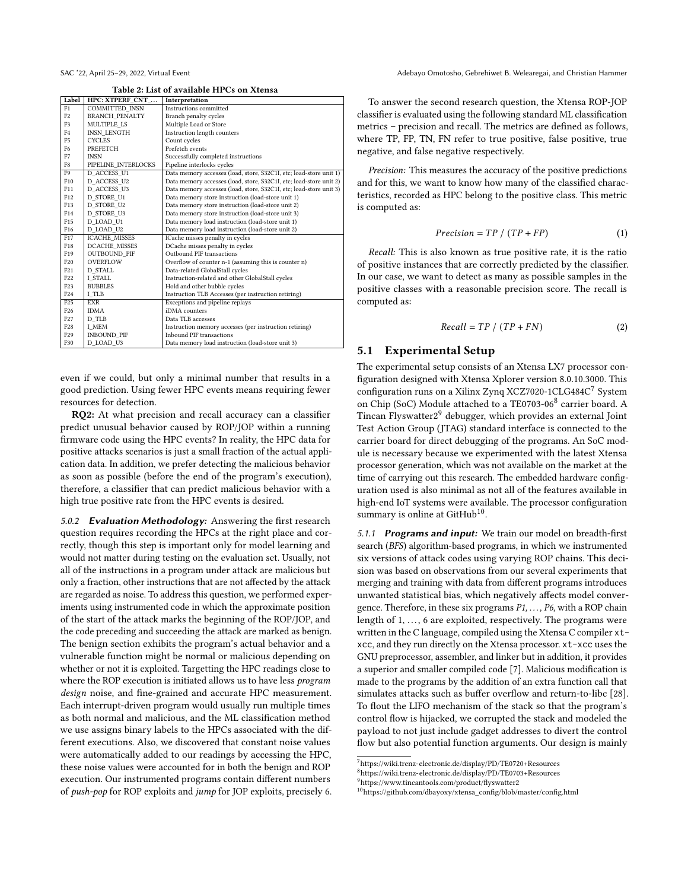Table 2: List of available HPCs on Xtensa

<span id="page-5-0"></span>

| Label           | HPC: XTPERF_CNT_      | Interpretation                                                     |  |  |
|-----------------|-----------------------|--------------------------------------------------------------------|--|--|
| F1              | COMMITTED INSN        | Instructions committed                                             |  |  |
| F2              | <b>BRANCH PENALTY</b> | Branch penalty cycles                                              |  |  |
| F <sub>3</sub>  | MULTIPLE LS           | Multiple Load or Store                                             |  |  |
| F4              | <b>INSN LENGTH</b>    | Instruction length counters                                        |  |  |
| F <sub>5</sub>  | <b>CYCLES</b>         | Count cycles                                                       |  |  |
| F6              | PREFETCH              | Prefetch events                                                    |  |  |
| F7              | <b>INSN</b>           | Successfully completed instructions                                |  |  |
| F8              | PIPELINE INTERLOCKS   | Pipeline interlocks cycles                                         |  |  |
| F9              | D ACCESS U1           | Data memory accesses (load, store, S32C1I, etc; load-store unit 1) |  |  |
| F10             | D ACCESS U2           | Data memory accesses (load, store, S32C1I, etc; load-store unit 2) |  |  |
| F11             | D ACCESS U3           | Data memory accesses (load, store, S32C1I, etc; load-store unit 3) |  |  |
| F12             | D STORE U1            | Data memory store instruction (load-store unit 1)                  |  |  |
| F13             | D STORE U2            | Data memory store instruction (load-store unit 2)                  |  |  |
| F14             | D STORE U3            | Data memory store instruction (load-store unit 3)                  |  |  |
| F <sub>15</sub> | D LOAD U1             | Data memory load instruction (load-store unit 1)                   |  |  |
| F <sub>16</sub> | D LOAD U2             | Data memory load instruction (load-store unit 2)                   |  |  |
| F17             | <b>ICACHE MISSES</b>  | ICache misses penalty in cycles                                    |  |  |
| F18             | DCACHE MISSES         | DCache misses penalty in cycles                                    |  |  |
| F19             | <b>OUTBOUND PIF</b>   | Outbound PIF transactions                                          |  |  |
| F20             | <b>OVERFLOW</b>       | Overflow of counter n-1 (assuming this is counter n)               |  |  |
| F <sub>21</sub> | D STALL               | Data-related GlobalStall cycles                                    |  |  |
| F <sub>22</sub> | I STALL               | Instruction-related and other GlobalStall cycles                   |  |  |
| F <sub>23</sub> | <b>BUBBLES</b>        | Hold and other bubble cycles                                       |  |  |
| F <sub>24</sub> | I TLB                 | Instruction TLB Accesses (per instruction retiring)                |  |  |
| F <sub>25</sub> | <b>EXR</b>            | Exceptions and pipeline replays                                    |  |  |
| F <sub>26</sub> | <b>IDMA</b>           | iDMA counters                                                      |  |  |
| F <sub>27</sub> | D TLB                 | Data TLB accesses                                                  |  |  |
| F28             | I MEM                 | Instruction memory accesses (per instruction retiring)             |  |  |
| F <sub>29</sub> | INBOUND PIF           | Inbound PIF transactions                                           |  |  |
| F30             | D LOAD U3             | Data memory load instruction (load-store unit 3)                   |  |  |

even if we could, but only a minimal number that results in a good prediction. Using fewer HPC events means requiring fewer resources for detection.

RQ2: At what precision and recall accuracy can a classifier predict unusual behavior caused by ROP/JOP within a running firmware code using the HPC events? In reality, the HPC data for positive attacks scenarios is just a small fraction of the actual application data. In addition, we prefer detecting the malicious behavior as soon as possible (before the end of the program's execution), therefore, a classifier that can predict malicious behavior with a high true positive rate from the HPC events is desired.

<span id="page-5-1"></span>5.0.2 Evaluation Methodology: Answering the first research question requires recording the HPCs at the right place and correctly, though this step is important only for model learning and would not matter during testing on the evaluation set. Usually, not all of the instructions in a program under attack are malicious but only a fraction, other instructions that are not affected by the attack are regarded as noise. To address this question, we performed experiments using instrumented code in which the approximate position of the start of the attack marks the beginning of the ROP/JOP, and the code preceding and succeeding the attack are marked as benign. The benign section exhibits the program's actual behavior and a vulnerable function might be normal or malicious depending on whether or not it is exploited. Targetting the HPC readings close to where the ROP execution is initiated allows us to have less program design noise, and fine-grained and accurate HPC measurement. Each interrupt-driven program would usually run multiple times as both normal and malicious, and the ML classification method we use assigns binary labels to the HPCs associated with the different executions. Also, we discovered that constant noise values were automatically added to our readings by accessing the HPC, these noise values were accounted for in both the benign and ROP execution. Our instrumented programs contain different numbers of push-pop for ROP exploits and jump for JOP exploits, precisely 6.

SAC '22, April 25-29, 2022, Virtual Event Adebayo Omotosho, Gebrehiwet B. Welearegai, and Christian Hammer

To answer the second research question, the Xtensa ROP-JOP classifier is evaluated using the following standard ML classification metrics – precision and recall. The metrics are defined as follows, where TP, FP, TN, FN refer to true positive, false positive, true negative, and false negative respectively.

Precision: This measures the accuracy of the positive predictions and for this, we want to know how many of the classified characteristics, recorded as HPC belong to the positive class. This metric is computed as:

$$
Precision = TP / (TP + FP)
$$
 (1)

Recall: This is also known as true positive rate, it is the ratio of positive instances that are correctly predicted by the classifier. In our case, we want to detect as many as possible samples in the positive classes with a reasonable precision score. The recall is computed as:

$$
Recall = TP / (TP + FN)
$$
 (2)

# 5.1 Experimental Setup

The experimental setup consists of an Xtensa LX7 processor configuration designed with Xtensa Xplorer version 8.0.10.3000. This configuration runs on a Xilinx Zynq XCZ7020-1CLG484C[7](#page-5-2) System on Chip (SoC) Module attached to a TE0703-06<sup>[8](#page-5-3)</sup> carrier board. A Tincan Flyswatter2[9](#page-5-4) debugger, which provides an external Joint Test Action Group (JTAG) standard interface is connected to the carrier board for direct debugging of the programs. An SoC module is necessary because we experimented with the latest Xtensa processor generation, which was not available on the market at the time of carrying out this research. The embedded hardware configuration used is also minimal as not all of the features available in high-end IoT systems were available. The processor configuration summary is online at GitHub<sup>[10](#page-5-5)</sup>.

5.1.1 Programs and input: We train our model on breadth-first search (BFS) algorithm-based programs, in which we instrumented six versions of attack codes using varying ROP chains. This decision was based on observations from our several experiments that merging and training with data from different programs introduces unwanted statistical bias, which negatively affects model convergence. Therefore, in these six programs  $P1, \ldots, P6$ , with a ROP chain length of  $1, \ldots, 6$  are exploited, respectively. The programs were written in the C language, compiled using the Xtensa C compiler xtxcc, and they run directly on the Xtensa processor. xt-xcc uses the GNU preprocessor, assembler, and linker but in addition, it provides a superior and smaller compiled code [\[7\]](#page-9-27). Malicious modification is made to the programs by the addition of an extra function call that simulates attacks such as buffer overflow and return-to-libc [\[28\]](#page-9-5). To flout the LIFO mechanism of the stack so that the program's control flow is hijacked, we corrupted the stack and modeled the payload to not just include gadget addresses to divert the control flow but also potential function arguments. Our design is mainly

<span id="page-5-2"></span><sup>7</sup><https://wiki.trenz-electronic.de/display/PD/TE0720+Resources>

<span id="page-5-3"></span><sup>8</sup><https://wiki.trenz-electronic.de/display/PD/TE0703+Resources>

<span id="page-5-4"></span><sup>9</sup><https://www.tincantools.com/product/flyswatter2>

<span id="page-5-5"></span><sup>10</sup>[https://github.com/dbayoxy/xtensa\\_config/blob/master/config.html](https://github.com/dbayoxy/xtensa_config/blob/master/config.html)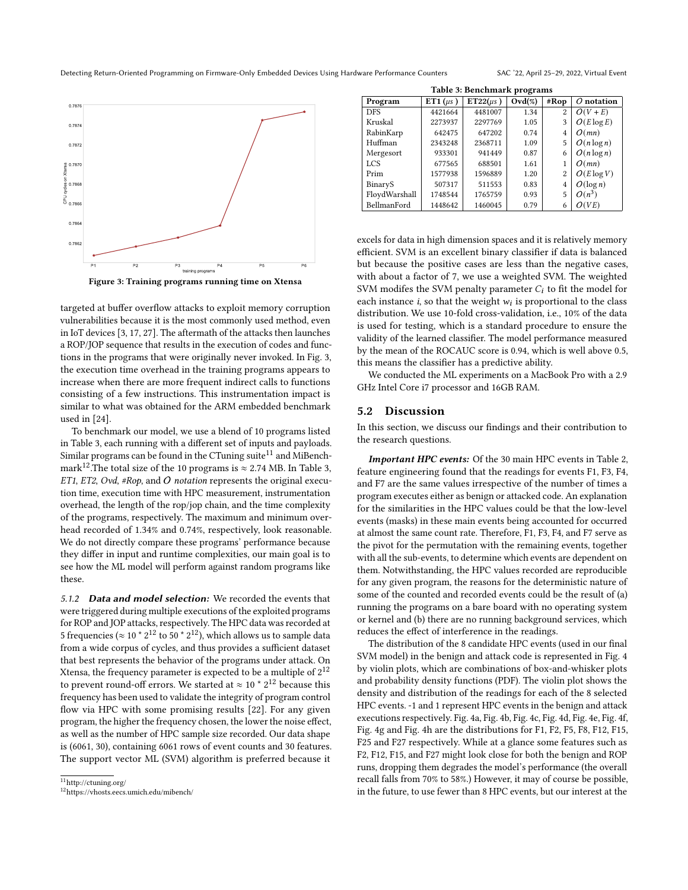Detecting Return-Oriented Programming on Firmware-Only Embedded Devices Using Hardware Performance Counters SAC '22, April 25–29, 2022, Virtual Event

<span id="page-6-0"></span>P1 P2 P3 P4 P5 P6 training progra 0.7862 0.7864 eg<br>호 G<br>5 G<br>0.7868<br>0 G<br>0.7866 0.786 g 0.7870 0.7872 0.7874 0.7876



targeted at buffer overflow attacks to exploit memory corruption vulnerabilities because it is the most commonly used method, even in IoT devices [\[3,](#page-9-28) [17,](#page-9-29) [27\]](#page-9-30). The aftermath of the attacks then launches a ROP/JOP sequence that results in the execution of codes and functions in the programs that were originally never invoked. In Fig. [3,](#page-6-0) the execution time overhead in the training programs appears to increase when there are more frequent indirect calls to functions consisting of a few instructions. This instrumentation impact is similar to what was obtained for the ARM embedded benchmark used in [\[24\]](#page-9-10).

To benchmark our model, we use a blend of 10 programs listed in Table [3,](#page-6-1) each running with a different set of inputs and payloads. Similar programs can be found in the CTuning suite<sup>[11](#page-6-2)</sup> and MiBench-mark<sup>[12](#page-6-3)</sup>.The total size of the 10 programs is  $\approx$  2.74 MB. In Table [3,](#page-6-1) ET1, ET2, Ovd, #Rop, and O notation represents the original execution time, execution time with HPC measurement, instrumentation overhead, the length of the rop/jop chain, and the time complexity of the programs, respectively. The maximum and minimum overhead recorded of 1.34% and 0.74%, respectively, look reasonable. We do not directly compare these programs' performance because they differ in input and runtime complexities, our main goal is to see how the ML model will perform against random programs like these.

5.1.2 Data and model selection: We recorded the events that were triggered during multiple executions of the exploited programs for ROP and JOP attacks, respectively. The HPC data was recorded at 5 frequencies ( $\approx$  10  $\text{*}$  2<sup>12</sup> to 50  $\text{*}$  2<sup>12</sup>), which allows us to sample data from a wide corpus of cycles, and thus provides a sufficient dataset that best represents the behavior of the programs under attack. On Xtensa, the frequency parameter is expected to be a multiple of  $2^{12}$ to prevent round-off errors. We started at  $\approx 10$   $\degree$   $2^{12}$  because this frequency has been used to validate the integrity of program control flow via HPC with some promising results [\[22\]](#page-9-23). For any given program, the higher the frequency chosen, the lower the noise effect, as well as the number of HPC sample size recorded. Our data shape is (6061, 30), containing 6061 rows of event counts and 30 features. The support vector ML (SVM) algorithm is preferred because it

<span id="page-6-1"></span>

| Table 3: Benchmark programs |               |               |           |                |               |  |  |  |
|-----------------------------|---------------|---------------|-----------|----------------|---------------|--|--|--|
| Program                     | ET1 $(\mu s)$ | $ET22(\mu s)$ | $Ovd(\%)$ | #Rop           | $O$ notation  |  |  |  |
| <b>DFS</b>                  | 4421664       | 4481007       | 1.34      | $\overline{c}$ | $O(V + E)$    |  |  |  |
| Kruskal                     | 2273937       | 2297769       | 1.05      | 3              | $O(E \log E)$ |  |  |  |
| RabinKarp                   | 642475        | 647202        | 0.74      | 4              | O(mn)         |  |  |  |
| Huffman                     | 2343248       | 2368711       | 1.09      | 5              | $O(n \log n)$ |  |  |  |
| Mergesort                   | 933301        | 941449        | 0.87      | 6              | $O(n \log n)$ |  |  |  |
| <b>LCS</b>                  | 677565        | 688501        | 1.61      |                | O(mn)         |  |  |  |
| Prim                        | 1577938       | 1596889       | 1.20      | $\overline{2}$ | $O(E \log V)$ |  |  |  |
| BinaryS                     | 507317        | 511553        | 0.83      | 4              | $O(\log n)$   |  |  |  |
| FloydWarshall               | 1748544       | 1765759       | 0.93      | 5              | $O(n^3)$      |  |  |  |
| BellmanFord                 | 1448642       | 1460045       | 0.79      | 6              | VE)           |  |  |  |

excels for data in high dimension spaces and it is relatively memory efficient. SVM is an excellent binary classifier if data is balanced but because the positive cases are less than the negative cases, with about a factor of 7, we use a weighted SVM. The weighted SVM modifes the SVM penalty parameter  $C_i$  to fit the model for each instance  $i$ , so that the weight  $w_i$  is proportional to the class distribution. We use 10-fold cross-validation, i.e., 10% of the data is used for testing, which is a standard procedure to ensure the validity of the learned classifier. The model performance measured by the mean of the ROCAUC score is 0.94, which is well above 0.5, this means the classifier has a predictive ability.

We conducted the ML experiments on a MacBook Pro with a 2.9 GHz Intel Core i7 processor and 16GB RAM.

#### 5.2 Discussion

In this section, we discuss our findings and their contribution to the research questions.

Important HPC events: Of the 30 main HPC events in Table [2,](#page-5-0) feature engineering found that the readings for events F1, F3, F4, and F7 are the same values irrespective of the number of times a program executes either as benign or attacked code. An explanation for the similarities in the HPC values could be that the low-level events (masks) in these main events being accounted for occurred at almost the same count rate. Therefore, F1, F3, F4, and F7 serve as the pivot for the permutation with the remaining events, together with all the sub-events, to determine which events are dependent on them. Notwithstanding, the HPC values recorded are reproducible for any given program, the reasons for the deterministic nature of some of the counted and recorded events could be the result of (a) running the programs on a bare board with no operating system or kernel and (b) there are no running background services, which reduces the effect of interference in the readings.

The distribution of the 8 candidate HPC events (used in our final SVM model) in the benign and attack code is represented in Fig. [4](#page-7-0) by violin plots, which are combinations of box-and-whisker plots and probability density functions (PDF). The violin plot shows the density and distribution of the readings for each of the 8 selected HPC events. -1 and 1 represent HPC events in the benign and attack executions respectively. Fig. [4a,](#page-7-0) Fig. [4b,](#page-7-0) Fig. [4c,](#page-7-0) Fig. [4d,](#page-7-0) Fig. [4e,](#page-7-0) Fig. [4f,](#page-7-0) Fig. [4g](#page-7-0) and Fig. [4h](#page-7-0) are the distributions for F1, F2, F5, F8, F12, F15, F25 and F27 respectively. While at a glance some features such as F2, F12, F15, and F27 might look close for both the benign and ROP runs, dropping them degrades the model's performance (the overall recall falls from 70% to 58%.) However, it may of course be possible, in the future, to use fewer than 8 HPC events, but our interest at the

<span id="page-6-2"></span> $11$ <http://ctuning.org/>

<span id="page-6-3"></span><sup>12</sup><https://vhosts.eecs.umich.edu/mibench/>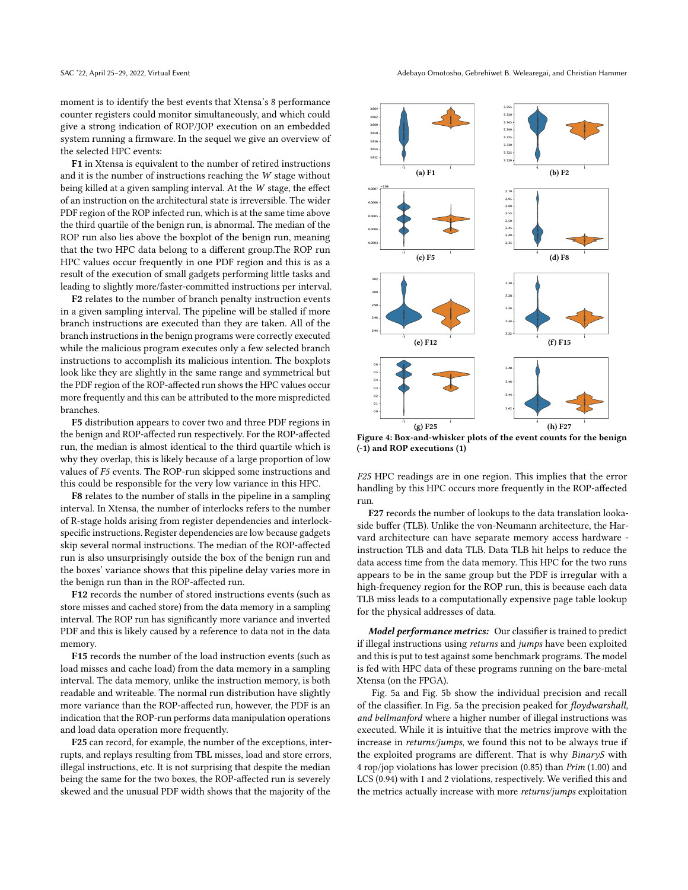moment is to identify the best events that Xtensa's 8 performance counter registers could monitor simultaneously, and which could give a strong indication of ROP/JOP execution on an embedded system running a firmware. In the sequel we give an overview of the selected HPC events:

F1 in Xtensa is equivalent to the number of retired instructions and it is the number of instructions reaching the W stage without being killed at a given sampling interval. At the W stage, the effect of an instruction on the architectural state is irreversible. The wider PDF region of the ROP infected run, which is at the same time above the third quartile of the benign run, is abnormal. The median of the ROP run also lies above the boxplot of the benign run, meaning that the two HPC data belong to a different group.The ROP run HPC values occur frequently in one PDF region and this is as a result of the execution of small gadgets performing little tasks and leading to slightly more/faster-committed instructions per interval.

F2 relates to the number of branch penalty instruction events in a given sampling interval. The pipeline will be stalled if more branch instructions are executed than they are taken. All of the branch instructions in the benign programs were correctly executed while the malicious program executes only a few selected branch instructions to accomplish its malicious intention. The boxplots look like they are slightly in the same range and symmetrical but the PDF region of the ROP-affected run shows the HPC values occur more frequently and this can be attributed to the more mispredicted branches.

F5 distribution appears to cover two and three PDF regions in the benign and ROP-affected run respectively. For the ROP-affected run, the median is almost identical to the third quartile which is why they overlap, this is likely because of a large proportion of low values of F5 events. The ROP-run skipped some instructions and this could be responsible for the very low variance in this HPC.

F8 relates to the number of stalls in the pipeline in a sampling interval. In Xtensa, the number of interlocks refers to the number of R-stage holds arising from register dependencies and interlockspecific instructions. Register dependencies are low because gadgets skip several normal instructions. The median of the ROP-affected run is also unsurprisingly outside the box of the benign run and the boxes' variance shows that this pipeline delay varies more in the benign run than in the ROP-affected run.

F12 records the number of stored instructions events (such as store misses and cached store) from the data memory in a sampling interval. The ROP run has significantly more variance and inverted PDF and this is likely caused by a reference to data not in the data memory.

F15 records the number of the load instruction events (such as load misses and cache load) from the data memory in a sampling interval. The data memory, unlike the instruction memory, is both readable and writeable. The normal run distribution have slightly more variance than the ROP-affected run, however, the PDF is an indication that the ROP-run performs data manipulation operations and load data operation more frequently.

F25 can record, for example, the number of the exceptions, interrupts, and replays resulting from TBL misses, load and store errors, illegal instructions, etc. It is not surprising that despite the median being the same for the two boxes, the ROP-affected run is severely skewed and the unusual PDF width shows that the majority of the

<span id="page-7-0"></span>

Figure 4: Box-and-whisker plots of the event counts for the benign (-1) and ROP executions (1)

F25 HPC readings are in one region. This implies that the error handling by this HPC occurs more frequently in the ROP-affected run.

F27 records the number of lookups to the data translation lookaside buffer (TLB). Unlike the von-Neumann architecture, the Harvard architecture can have separate memory access hardware instruction TLB and data TLB. Data TLB hit helps to reduce the data access time from the data memory. This HPC for the two runs appears to be in the same group but the PDF is irregular with a high-frequency region for the ROP run, this is because each data TLB miss leads to a computationally expensive page table lookup for the physical addresses of data.

Model performance metrics: Our classifier is trained to predict if illegal instructions using returns and jumps have been exploited and this is put to test against some benchmark programs. The model is fed with HPC data of these programs running on the bare-metal Xtensa (on the FPGA).

Fig. [5a](#page-8-0) and Fig. [5b](#page-8-0) show the individual precision and recall of the classifier. In Fig. [5a](#page-8-0) the precision peaked for floydwarshall, and bellmanford where a higher number of illegal instructions was executed. While it is intuitive that the metrics improve with the increase in returns/jumps, we found this not to be always true if the exploited programs are different. That is why BinaryS with 4 rop/jop violations has lower precision (0.85) than Prim (1.00) and LCS (0.94) with 1 and 2 violations, respectively. We verified this and the metrics actually increase with more returns/jumps exploitation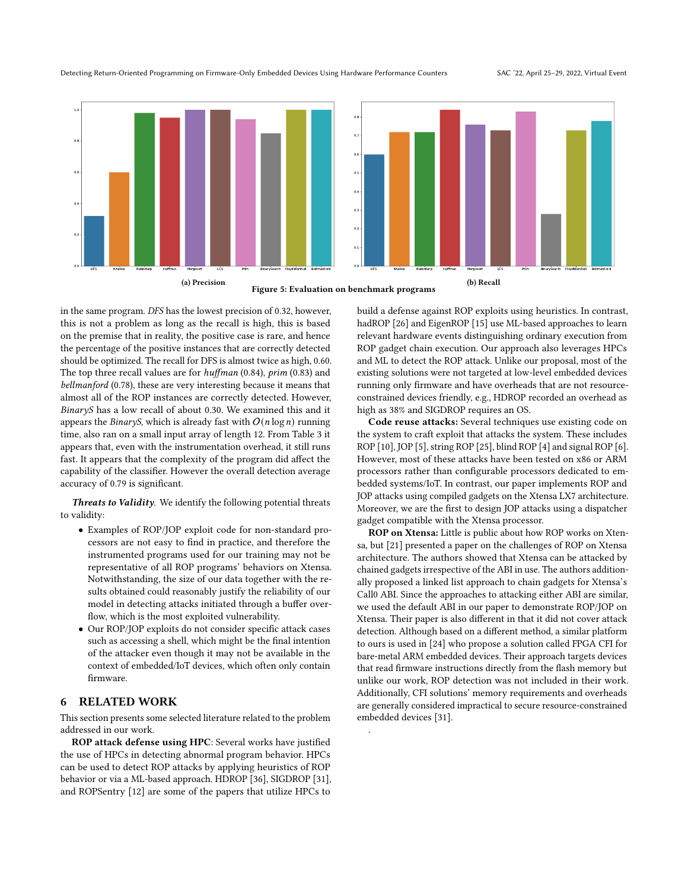<span id="page-8-0"></span>

Figure 5: Evaluation on benchmark programs

.

in the same program. DFS has the lowest precision of 0.32, however, this is not a problem as long as the recall is high, this is based on the premise that in reality, the positive case is rare, and hence the percentage of the positive instances that are correctly detected should be optimized. The recall for DFS is almost twice as high, 0.60. The top three recall values are for huffman (0.84), prim (0.83) and bellmanford (0.78), these are very interesting because it means that almost all of the ROP instances are correctly detected. However, BinaryS has a low recall of about 0.30. We examined this and it appears the *BinaryS*, which is already fast with  $O(n \log n)$  running time, also ran on a small input array of length 12. From Table [3](#page-6-1) it appears that, even with the instrumentation overhead, it still runs fast. It appears that the complexity of the program did affect the capability of the classifier. However the overall detection average accuracy of 0.79 is significant.

Threats to Validity. We identify the following potential threats to validity:

- Examples of ROP/JOP exploit code for non-standard processors are not easy to find in practice, and therefore the instrumented programs used for our training may not be representative of all ROP programs' behaviors on Xtensa. Notwithstanding, the size of our data together with the results obtained could reasonably justify the reliability of our model in detecting attacks initiated through a buffer overflow, which is the most exploited vulnerability.
- Our ROP/JOP exploits do not consider specific attack cases such as accessing a shell, which might be the final intention of the attacker even though it may not be available in the context of embedded/IoT devices, which often only contain firmware.

# 6 RELATED WORK

This section presents some selected literature related to the problem addressed in our work.

ROP attack defense using HPC: Several works have justified the use of HPCs in detecting abnormal program behavior. HPCs can be used to detect ROP attacks by applying heuristics of ROP behavior or via a ML-based approach. HDROP [\[36\]](#page-9-31), SIGDROP [\[31\]](#page-9-32), and ROPSentry [\[12\]](#page-9-17) are some of the papers that utilize HPCs to

build a defense against ROP exploits using heuristics. In contrast, hadROP [\[26\]](#page-9-18) and EigenROP [\[15\]](#page-9-33) use ML-based approaches to learn relevant hardware events distinguishing ordinary execution from ROP gadget chain execution. Our approach also leverages HPCs and ML to detect the ROP attack. Unlike our proposal, most of the existing solutions were not targeted at low-level embedded devices running only firmware and have overheads that are not resourceconstrained devices friendly, e.g., HDROP recorded an overhead as high as 38% and SIGDROP requires an OS.

Code reuse attacks: Several techniques use existing code on the system to craft exploit that attacks the system. These includes ROP [\[10\]](#page-9-2), JOP [\[5\]](#page-9-6), string ROP [\[25\]](#page-9-34), blind ROP [\[4\]](#page-9-35) and signal ROP [\[6\]](#page-9-36). However, most of these attacks have been tested on x86 or ARM processors rather than configurable processors dedicated to embedded systems/IoT. In contrast, our paper implements ROP and JOP attacks using compiled gadgets on the Xtensa LX7 architecture. Moreover, we are the first to design JOP attacks using a dispatcher gadget compatible with the Xtensa processor.

ROP on Xtensa: Little is public about how ROP works on Xtensa, but [\[21\]](#page-9-21) presented a paper on the challenges of ROP on Xtensa architecture. The authors showed that Xtensa can be attacked by chained gadgets irrespective of the ABI in use. The authors additionally proposed a linked list approach to chain gadgets for Xtensa's Call0 ABI. Since the approaches to attacking either ABI are similar, we used the default ABI in our paper to demonstrate ROP/JOP on Xtensa. Their paper is also different in that it did not cover attack detection. Although based on a different method, a similar platform to ours is used in [\[24\]](#page-9-10) who propose a solution called FPGA CFI for bare-metal ARM embedded devices. Their approach targets devices that read firmware instructions directly from the flash memory but unlike our work, ROP detection was not included in their work. Additionally, CFI solutions' memory requirements and overheads are generally considered impractical to secure resource-constrained embedded devices [\[31\]](#page-9-32).